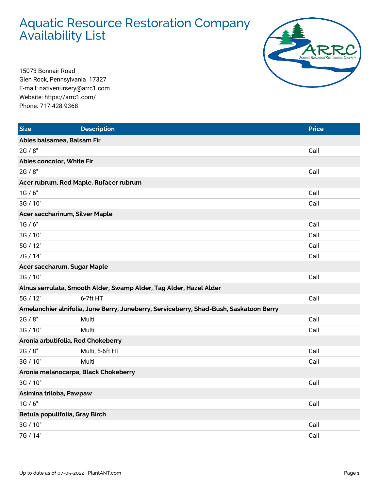## Aquatic Resource Restoration Company Availability List



15073 Bonnair Road Glen Rock, Pennsylvania 17327 E-mail: nativenursery@arrc1.com Website: https://arrc1.com/ Phone: 717-428-9368

| <b>Size</b>                            | <b>Description</b>                                                                     | <b>Price</b> |  |  |
|----------------------------------------|----------------------------------------------------------------------------------------|--------------|--|--|
| Abies balsamea, Balsam Fir             |                                                                                        |              |  |  |
| 2G / 8"                                |                                                                                        | Call         |  |  |
| Abies concolor, White Fir              |                                                                                        |              |  |  |
| 2G / 8"                                |                                                                                        | Call         |  |  |
| Acer rubrum, Red Maple, Rufacer rubrum |                                                                                        |              |  |  |
| 1G/6"                                  |                                                                                        | Call         |  |  |
| 3G / 10"                               |                                                                                        | Call         |  |  |
| Acer saccharinum, Silver Maple         |                                                                                        |              |  |  |
| 1G/6"                                  |                                                                                        | Call         |  |  |
| 3G / 10"                               |                                                                                        | Call         |  |  |
| 5G / 12"                               |                                                                                        | Call         |  |  |
| 7G / 14"                               |                                                                                        | Call         |  |  |
| Acer saccharum, Sugar Maple            |                                                                                        |              |  |  |
| 3G / 10"                               |                                                                                        | Call         |  |  |
|                                        | Alnus serrulata, Smooth Alder, Swamp Alder, Tag Alder, Hazel Alder                     |              |  |  |
| 5G / 12"                               | 6-7ft HT                                                                               | Call         |  |  |
|                                        | Amelanchier alnifolia, June Berry, Juneberry, Serviceberry, Shad-Bush, Saskatoon Berry |              |  |  |
| 2G / 8"                                | Multi                                                                                  | Call         |  |  |
| 3G / 10"                               | Multi                                                                                  | Call         |  |  |
| Aronia arbutifolia, Red Chokeberry     |                                                                                        |              |  |  |
| 2G / 8"                                | Multi, 5-6ft HT                                                                        | Call         |  |  |
| 3G / 10"                               | Multi                                                                                  | Call         |  |  |
| Aronia melanocarpa, Black Chokeberry   |                                                                                        |              |  |  |
| 3G / 10"                               |                                                                                        | Call         |  |  |
| Asimina triloba, Pawpaw                |                                                                                        |              |  |  |
| 1G/6"                                  |                                                                                        | Call         |  |  |
| Betula populifolia, Gray Birch         |                                                                                        |              |  |  |
| 3G / 10"                               |                                                                                        | Call         |  |  |
| 7G / 14"                               |                                                                                        | Call         |  |  |
|                                        |                                                                                        |              |  |  |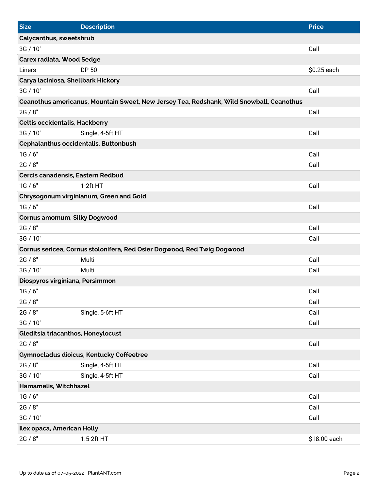| Size                                  | <b>Description</b>                                                                       | <b>Price</b> |  |  |
|---------------------------------------|------------------------------------------------------------------------------------------|--------------|--|--|
| Calycanthus, sweetshrub               |                                                                                          |              |  |  |
| 3G / 10"                              |                                                                                          | Call         |  |  |
| <b>Carex radiata, Wood Sedge</b>      |                                                                                          |              |  |  |
| Liners                                | DP 50                                                                                    | \$0.25 each  |  |  |
| Carya laciniosa, Shellbark Hickory    |                                                                                          |              |  |  |
| 3G / 10"                              |                                                                                          | Call         |  |  |
|                                       | Ceanothus americanus, Mountain Sweet, New Jersey Tea, Redshank, Wild Snowball, Ceanothus |              |  |  |
| 2G / 8"                               |                                                                                          | Call         |  |  |
| <b>Celtis occidentalis, Hackberry</b> |                                                                                          |              |  |  |
| 3G / 10"                              | Single, 4-5ft HT                                                                         | Call         |  |  |
| Cephalanthus occidentalis, Buttonbush |                                                                                          |              |  |  |
| 1G/6"                                 |                                                                                          | Call         |  |  |
| 2G / 8"                               |                                                                                          | Call         |  |  |
| Cercis canadensis, Eastern Redbud     |                                                                                          |              |  |  |
| 1G/6"                                 | $1-2ft HT$                                                                               | Call         |  |  |
|                                       | Chrysogonum virginianum, Green and Gold                                                  |              |  |  |
| 1G/6"                                 |                                                                                          | Call         |  |  |
| Cornus amomum, Silky Dogwood          |                                                                                          |              |  |  |
| 2G / 8"                               |                                                                                          | Call         |  |  |
| 3G / 10"                              |                                                                                          | Call         |  |  |
|                                       | Cornus sericea, Cornus stolonifera, Red Osier Dogwood, Red Twig Dogwood                  |              |  |  |
| 2G / 8"                               | Multi                                                                                    | Call         |  |  |
| 3G / 10"                              | Multi                                                                                    | Call         |  |  |
| Diospyros virginiana, Persimmon       |                                                                                          |              |  |  |
| 1G/6"                                 |                                                                                          | Call         |  |  |
| 2G / 8"                               |                                                                                          | Call         |  |  |
| 2G / 8"                               | Single, 5-6ft HT                                                                         | Call         |  |  |
| 3G / 10"                              |                                                                                          | Call         |  |  |
| Gleditsia triacanthos, Honeylocust    |                                                                                          |              |  |  |
| 2G / 8"                               |                                                                                          | Call         |  |  |
|                                       | Gymnocladus dioicus, Kentucky Coffeetree                                                 |              |  |  |
| 2G / 8"                               | Single, 4-5ft HT                                                                         | Call         |  |  |
| 3G / 10"                              | Single, 4-5ft HT                                                                         | Call         |  |  |
| Hamamelis, Witchhazel                 |                                                                                          |              |  |  |
| 1G/6"                                 |                                                                                          | Call         |  |  |
| 2G / 8"                               |                                                                                          | Call         |  |  |
| 3G / 10"                              |                                                                                          | Call         |  |  |
| Ilex opaca, American Holly            |                                                                                          |              |  |  |
| 2G / 8"                               | 1.5-2ft HT                                                                               | \$18.00 each |  |  |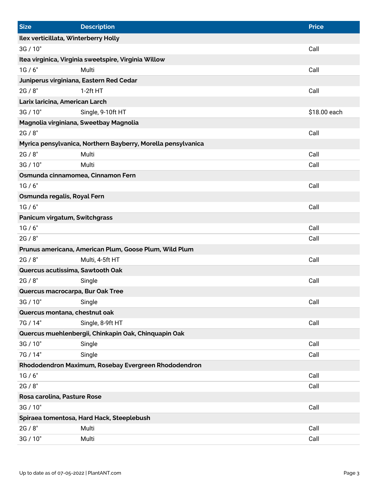| <b>Size</b>                                          | <b>Description</b>                                           | <b>Price</b> |  |  |
|------------------------------------------------------|--------------------------------------------------------------|--------------|--|--|
| Ilex verticillata, Winterberry Holly                 |                                                              |              |  |  |
| 3G / 10"                                             |                                                              | Call         |  |  |
|                                                      | Itea virginica, Virginia sweetspire, Virginia Willow         |              |  |  |
| 1G/6"                                                | Multi                                                        | Call         |  |  |
| Juniperus virginiana, Eastern Red Cedar              |                                                              |              |  |  |
| 2G / 8"                                              | $1-2ft HT$                                                   | Call         |  |  |
| Larix laricina, American Larch                       |                                                              |              |  |  |
| 3G / 10"                                             | Single, 9-10ft HT                                            | \$18.00 each |  |  |
|                                                      | Magnolia virginiana, Sweetbay Magnolia                       |              |  |  |
| 2G / 8"                                              |                                                              | Call         |  |  |
|                                                      | Myrica pensylvanica, Northern Bayberry, Morella pensylvanica |              |  |  |
| 2G / 8"                                              | Multi                                                        | Call         |  |  |
| 3G / 10"                                             | Multi                                                        | Call         |  |  |
| Osmunda cinnamomea, Cinnamon Fern                    |                                                              |              |  |  |
| 1G/6"                                                |                                                              | Call         |  |  |
| Osmunda regalis, Royal Fern                          |                                                              |              |  |  |
| 1G/6"                                                |                                                              | Call         |  |  |
| Panicum virgatum, Switchgrass                        |                                                              |              |  |  |
| 1G/6"                                                |                                                              | Call         |  |  |
| 2G / 8"                                              |                                                              | Call         |  |  |
|                                                      | Prunus americana, American Plum, Goose Plum, Wild Plum       |              |  |  |
| 2G / 8"                                              | Multi, 4-5ft HT                                              | Call         |  |  |
| Quercus acutissima, Sawtooth Oak                     |                                                              |              |  |  |
| 2G / 8"                                              | Single                                                       | Call         |  |  |
| Quercus macrocarpa, Bur Oak Tree                     |                                                              |              |  |  |
| 3G / 10"                                             | Single                                                       | Call         |  |  |
| Quercus montana, chestnut oak                        |                                                              |              |  |  |
| 7G / 14"                                             | Single, 8-9ft HT                                             | Call         |  |  |
|                                                      | Quercus muehlenbergii, Chinkapin Oak, Chinquapin Oak         |              |  |  |
| 3G / 10"                                             | Single                                                       | Call         |  |  |
| 7G / 14"                                             | Single                                                       | Call         |  |  |
| Rhododendron Maximum, Rosebay Evergreen Rhododendron |                                                              |              |  |  |
| 1G/6"                                                |                                                              | Call         |  |  |
| 2G / 8"                                              |                                                              | Call         |  |  |
| Rosa carolina, Pasture Rose                          |                                                              |              |  |  |
| 3G / 10"                                             |                                                              | Call         |  |  |
| Spiraea tomentosa, Hard Hack, Steeplebush            |                                                              |              |  |  |
| 2G / 8"                                              | Multi                                                        | Call         |  |  |
| 3G / 10"                                             | Multi                                                        | Call         |  |  |